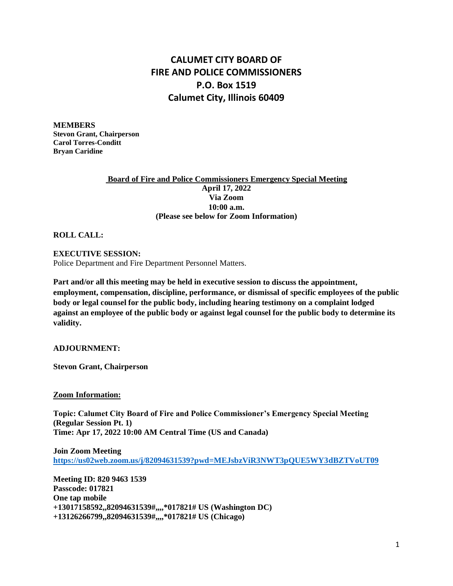## **CALUMET CITY BOARD OF FIRE AND POLICE COMMISSIONERS P.O. Box 1519 Calumet City, Illinois 60409**

**MEMBERS Stevon Grant, Chairperson Carol Torres-Conditt Bryan Caridine**

## **Board of Fire and Police Commissioners Emergency Special Meeting April 17, 2022 Via Zoom 10:00 a.m. (Please see below for Zoom Information)**

**ROLL CALL:**

## **EXECUTIVE SESSION:**

Police Department and Fire Department Personnel Matters.

**Part and/or all this meeting may be held in executive session to discuss the appointment, employment, compensation, discipline, performance, or dismissal of specific employees of the public body or legal counsel for the public body, including hearing testimony on a complaint lodged against an employee of the public body or against legal counsel for the public body to determine its validity.** 

**ADJOURNMENT:**

**Stevon Grant, Chairperson**

**Zoom Information:**

**Topic: Calumet City Board of Fire and Police Commissioner's Emergency Special Meeting (Regular Session Pt. 1) Time: Apr 17, 2022 10:00 AM Central Time (US and Canada)**

**Join Zoom Meeting <https://us02web.zoom.us/j/82094631539?pwd=MEJsbzViR3NWT3pQUE5WY3dBZTVoUT09>**

**Meeting ID: 820 9463 1539 Passcode: 017821 One tap mobile +13017158592,,82094631539#,,,,\*017821# US (Washington DC) +13126266799,,82094631539#,,,,\*017821# US (Chicago)**